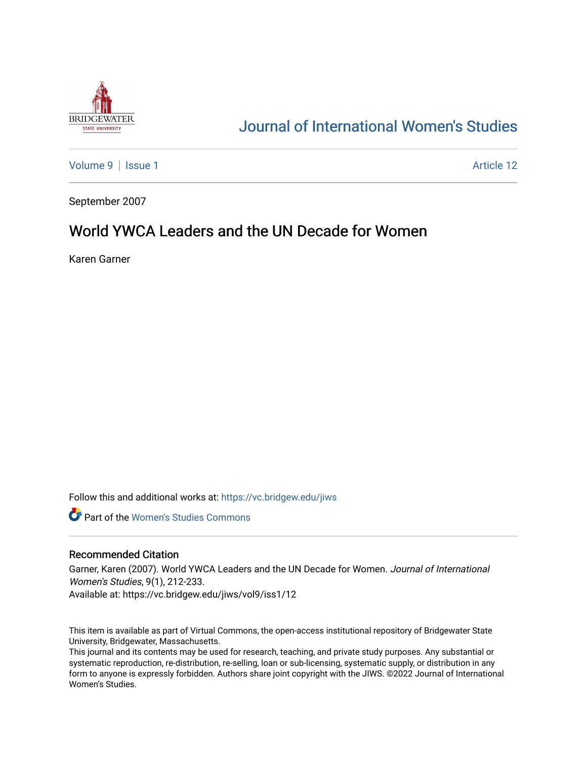

# [Journal of International Women's Studies](https://vc.bridgew.edu/jiws)

[Volume 9](https://vc.bridgew.edu/jiws/vol9) | [Issue 1](https://vc.bridgew.edu/jiws/vol9/iss1) Article 12

September 2007

# World YWCA Leaders and the UN Decade for Women

Karen Garner

Follow this and additional works at: [https://vc.bridgew.edu/jiws](https://vc.bridgew.edu/jiws?utm_source=vc.bridgew.edu%2Fjiws%2Fvol9%2Fiss1%2F12&utm_medium=PDF&utm_campaign=PDFCoverPages)

**C** Part of the Women's Studies Commons

#### Recommended Citation

Garner, Karen (2007). World YWCA Leaders and the UN Decade for Women. Journal of International Women's Studies, 9(1), 212-233.

Available at: https://vc.bridgew.edu/jiws/vol9/iss1/12

This item is available as part of Virtual Commons, the open-access institutional repository of Bridgewater State University, Bridgewater, Massachusetts.

This journal and its contents may be used for research, teaching, and private study purposes. Any substantial or systematic reproduction, re-distribution, re-selling, loan or sub-licensing, systematic supply, or distribution in any form to anyone is expressly forbidden. Authors share joint copyright with the JIWS. ©2022 Journal of International Women's Studies.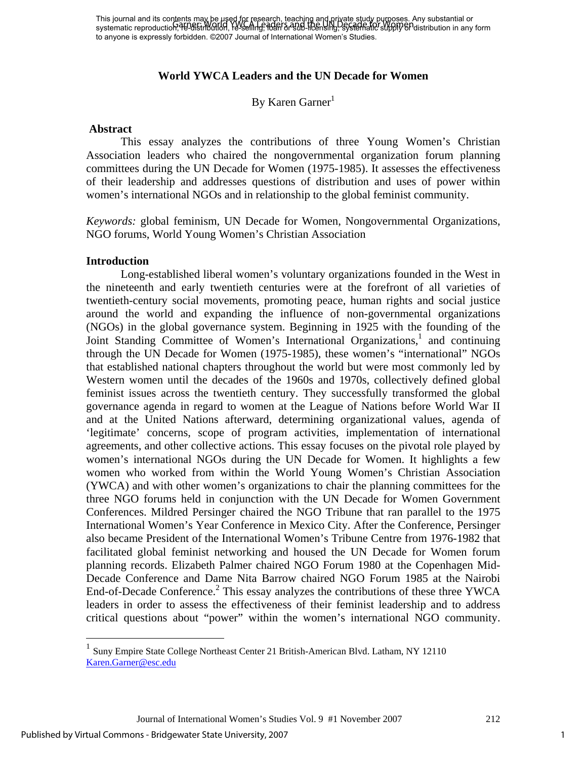# **World YWCA Leaders and the UN Decade for Women**

By Karen Garner $1$ 

#### **Abstract**

 This essay analyzes the contributions of three Young Women's Christian Association leaders who chaired the nongovernmental organization forum planning committees during the UN Decade for Women (1975-1985). It assesses the effectiveness of their leadership and addresses questions of distribution and uses of power within women's international NGOs and in relationship to the global feminist community.

*Keywords:* global feminism, UN Decade for Women, Nongovernmental Organizations, NGO forums, World Young Women's Christian Association

#### **Introduction**

 Long-established liberal women's voluntary organizations founded in the West in the nineteenth and early twentieth centuries were at the forefront of all varieties of twentieth-century social movements, promoting peace, human rights and social justice around the world and expanding the influence of non-governmental organizations (NGOs) in the global governance system. Beginning in 1925 with the founding of the Joint Standing Committee of Women's International Organizations,<sup>1</sup> and continuing through the UN Decade for Women (1975-1985), these women's "international" NGOs that established national chapters throughout the world but were most commonly led by Western women until the decades of the 1960s and 1970s, collectively defined global feminist issues across the twentieth century. They successfully transformed the global governance agenda in regard to women at the League of Nations before World War II and at the United Nations afterward, determining organizational values, agenda of 'legitimate' concerns, scope of program activities, implementation of international agreements, and other collective actions. This essay focuses on the pivotal role played by women's international NGOs during the UN Decade for Women. It highlights a few women who worked from within the World Young Women's Christian Association (YWCA) and with other women's organizations to chair the planning committees for the three NGO forums held in conjunction with the UN Decade for Women Government Conferences. Mildred Persinger chaired the NGO Tribune that ran parallel to the 1975 International Women's Year Conference in Mexico City. After the Conference, Persinger also became President of the International Women's Tribune Centre from 1976-1982 that facilitated global feminist networking and housed the UN Decade for Women forum planning records. Elizabeth Palmer chaired NGO Forum 1980 at the Copenhagen Mid-Decade Conference and Dame Nita Barrow chaired NGO Forum 1985 at the Nairobi End-of-Decade Conference.<sup>2</sup> This essay analyzes the contributions of these three YWCA leaders in order to assess the effectiveness of their feminist leadership and to address critical questions about "power" within the women's international NGO community.

 $\overline{a}$ 

<sup>&</sup>lt;sup>1</sup> Sunv Empire State College Northeast Center 21 British-American Blvd. Latham, NY 12110 Karen.Garner@esc.edu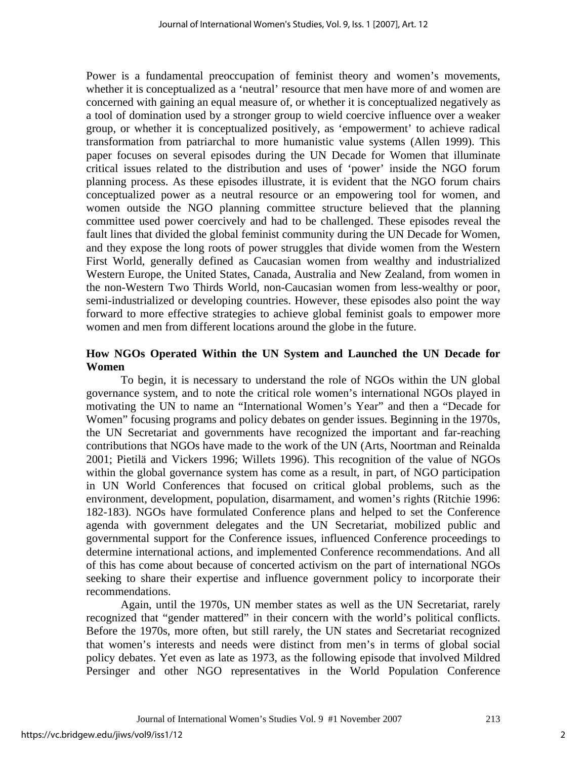Power is a fundamental preoccupation of feminist theory and women's movements, whether it is conceptualized as a 'neutral' resource that men have more of and women are concerned with gaining an equal measure of, or whether it is conceptualized negatively as a tool of domination used by a stronger group to wield coercive influence over a weaker group, or whether it is conceptualized positively, as 'empowerment' to achieve radical transformation from patriarchal to more humanistic value systems (Allen 1999). This paper focuses on several episodes during the UN Decade for Women that illuminate critical issues related to the distribution and uses of 'power' inside the NGO forum planning process. As these episodes illustrate, it is evident that the NGO forum chairs conceptualized power as a neutral resource or an empowering tool for women, and women outside the NGO planning committee structure believed that the planning committee used power coercively and had to be challenged. These episodes reveal the fault lines that divided the global feminist community during the UN Decade for Women, and they expose the long roots of power struggles that divide women from the Western First World, generally defined as Caucasian women from wealthy and industrialized Western Europe, the United States, Canada, Australia and New Zealand, from women in the non-Western Two Thirds World, non-Caucasian women from less-wealthy or poor, semi-industrialized or developing countries. However, these episodes also point the way forward to more effective strategies to achieve global feminist goals to empower more women and men from different locations around the globe in the future.

#### **How NGOs Operated Within the UN System and Launched the UN Decade for Women**

 To begin, it is necessary to understand the role of NGOs within the UN global governance system, and to note the critical role women's international NGOs played in motivating the UN to name an "International Women's Year" and then a "Decade for Women" focusing programs and policy debates on gender issues. Beginning in the 1970s, the UN Secretariat and governments have recognized the important and far-reaching contributions that NGOs have made to the work of the UN (Arts, Noortman and Reinalda 2001; Pietilä and Vickers 1996; Willets 1996). This recognition of the value of NGOs within the global governance system has come as a result, in part, of NGO participation in UN World Conferences that focused on critical global problems, such as the environment, development, population, disarmament, and women's rights (Ritchie 1996: 182-183). NGOs have formulated Conference plans and helped to set the Conference agenda with government delegates and the UN Secretariat, mobilized public and governmental support for the Conference issues, influenced Conference proceedings to determine international actions, and implemented Conference recommendations. And all of this has come about because of concerted activism on the part of international NGOs seeking to share their expertise and influence government policy to incorporate their recommendations.

 Again, until the 1970s, UN member states as well as the UN Secretariat, rarely recognized that "gender mattered" in their concern with the world's political conflicts. Before the 1970s, more often, but still rarely, the UN states and Secretariat recognized that women's interests and needs were distinct from men's in terms of global social policy debates. Yet even as late as 1973, as the following episode that involved Mildred Persinger and other NGO representatives in the World Population Conference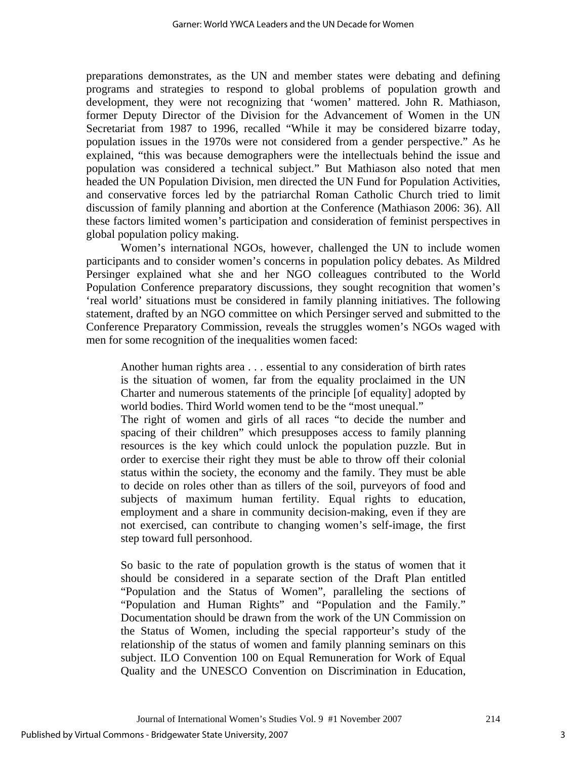preparations demonstrates, as the UN and member states were debating and defining programs and strategies to respond to global problems of population growth and development, they were not recognizing that 'women' mattered. John R. Mathiason, former Deputy Director of the Division for the Advancement of Women in the UN Secretariat from 1987 to 1996, recalled "While it may be considered bizarre today, population issues in the 1970s were not considered from a gender perspective." As he explained, "this was because demographers were the intellectuals behind the issue and population was considered a technical subject." But Mathiason also noted that men headed the UN Population Division, men directed the UN Fund for Population Activities, and conservative forces led by the patriarchal Roman Catholic Church tried to limit discussion of family planning and abortion at the Conference (Mathiason 2006: 36). All these factors limited women's participation and consideration of feminist perspectives in global population policy making.

 Women's international NGOs, however, challenged the UN to include women participants and to consider women's concerns in population policy debates. As Mildred Persinger explained what she and her NGO colleagues contributed to the World Population Conference preparatory discussions, they sought recognition that women's 'real world' situations must be considered in family planning initiatives. The following statement, drafted by an NGO committee on which Persinger served and submitted to the Conference Preparatory Commission, reveals the struggles women's NGOs waged with men for some recognition of the inequalities women faced:

Another human rights area . . . essential to any consideration of birth rates is the situation of women, far from the equality proclaimed in the UN Charter and numerous statements of the principle [of equality] adopted by world bodies. Third World women tend to be the "most unequal."

The right of women and girls of all races "to decide the number and spacing of their children" which presupposes access to family planning resources is the key which could unlock the population puzzle. But in order to exercise their right they must be able to throw off their colonial status within the society, the economy and the family. They must be able to decide on roles other than as tillers of the soil, purveyors of food and subjects of maximum human fertility. Equal rights to education, employment and a share in community decision-making, even if they are not exercised, can contribute to changing women's self-image, the first step toward full personhood.

So basic to the rate of population growth is the status of women that it should be considered in a separate section of the Draft Plan entitled "Population and the Status of Women", paralleling the sections of "Population and Human Rights" and "Population and the Family." Documentation should be drawn from the work of the UN Commission on the Status of Women, including the special rapporteur's study of the relationship of the status of women and family planning seminars on this subject. ILO Convention 100 on Equal Remuneration for Work of Equal Quality and the UNESCO Convention on Discrimination in Education,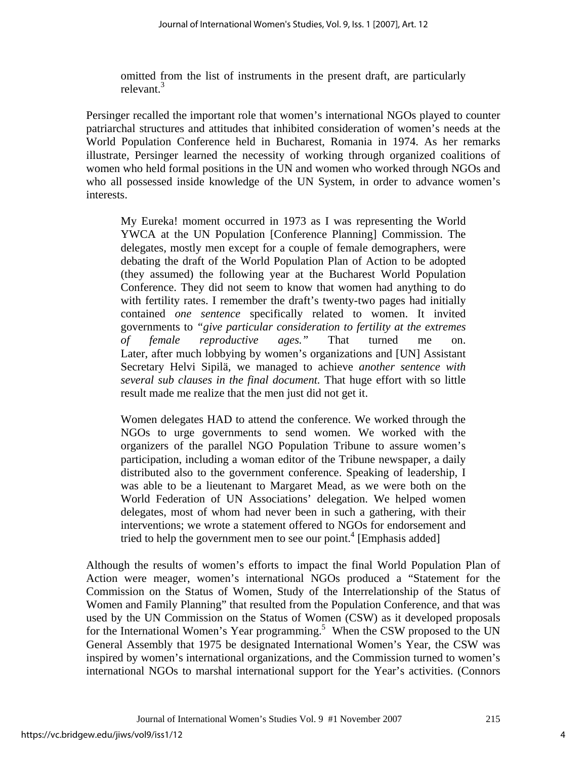omitted from the list of instruments in the present draft, are particularly relevant.3

Persinger recalled the important role that women's international NGOs played to counter patriarchal structures and attitudes that inhibited consideration of women's needs at the World Population Conference held in Bucharest, Romania in 1974. As her remarks illustrate, Persinger learned the necessity of working through organized coalitions of women who held formal positions in the UN and women who worked through NGOs and who all possessed inside knowledge of the UN System, in order to advance women's interests.

My Eureka! moment occurred in 1973 as I was representing the World YWCA at the UN Population [Conference Planning] Commission. The delegates, mostly men except for a couple of female demographers, were debating the draft of the World Population Plan of Action to be adopted (they assumed) the following year at the Bucharest World Population Conference. They did not seem to know that women had anything to do with fertility rates. I remember the draft's twenty-two pages had initially contained *one sentence* specifically related to women. It invited governments to *"give particular consideration to fertility at the extremes of female reproductive ages."* That turned me on. Later, after much lobbying by women's organizations and [UN] Assistant Secretary Helvi Sipilä, we managed to achieve *another sentence with several sub clauses in the final document.* That huge effort with so little result made me realize that the men just did not get it.

Women delegates HAD to attend the conference. We worked through the NGOs to urge governments to send women. We worked with the organizers of the parallel NGO Population Tribune to assure women's participation, including a woman editor of the Tribune newspaper, a daily distributed also to the government conference. Speaking of leadership, I was able to be a lieutenant to Margaret Mead, as we were both on the World Federation of UN Associations' delegation. We helped women delegates, most of whom had never been in such a gathering, with their interventions; we wrote a statement offered to NGOs for endorsement and tried to help the government men to see our point.<sup>4</sup> [Emphasis added]

Although the results of women's efforts to impact the final World Population Plan of Action were meager, women's international NGOs produced a "Statement for the Commission on the Status of Women, Study of the Interrelationship of the Status of Women and Family Planning" that resulted from the Population Conference, and that was used by the UN Commission on the Status of Women (CSW) as it developed proposals for the International Women's Year programming.<sup>5</sup> When the CSW proposed to the UN General Assembly that 1975 be designated International Women's Year, the CSW was inspired by women's international organizations, and the Commission turned to women's international NGOs to marshal international support for the Year's activities. (Connors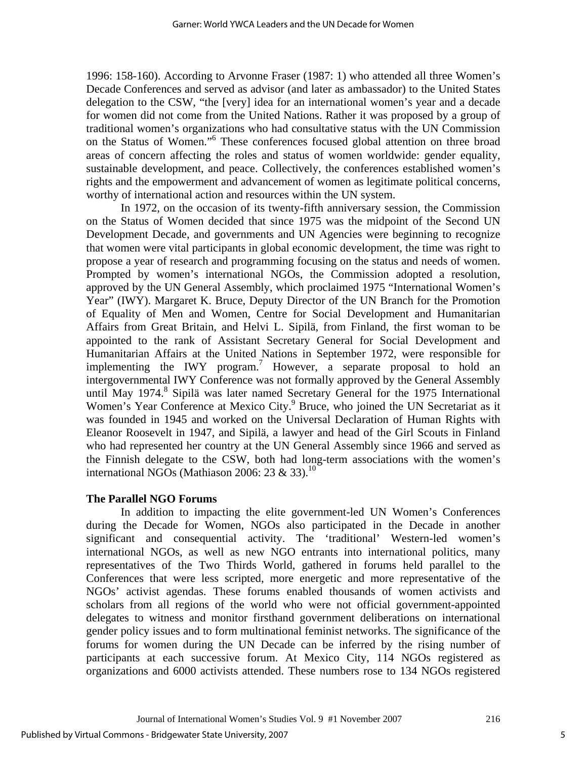1996: 158-160). According to Arvonne Fraser (1987: 1) who attended all three Women's Decade Conferences and served as advisor (and later as ambassador) to the United States delegation to the CSW, "the [very] idea for an international women's year and a decade for women did not come from the United Nations. Rather it was proposed by a group of traditional women's organizations who had consultative status with the UN Commission on the Status of Women."6 These conferences focused global attention on three broad areas of concern affecting the roles and status of women worldwide: gender equality, sustainable development, and peace. Collectively, the conferences established women's rights and the empowerment and advancement of women as legitimate political concerns, worthy of international action and resources within the UN system.

 In 1972, on the occasion of its twenty-fifth anniversary session, the Commission on the Status of Women decided that since 1975 was the midpoint of the Second UN Development Decade, and governments and UN Agencies were beginning to recognize that women were vital participants in global economic development, the time was right to propose a year of research and programming focusing on the status and needs of women. Prompted by women's international NGOs, the Commission adopted a resolution, approved by the UN General Assembly, which proclaimed 1975 "International Women's Year" (IWY). Margaret K. Bruce, Deputy Director of the UN Branch for the Promotion of Equality of Men and Women, Centre for Social Development and Humanitarian Affairs from Great Britain, and Helvi L. Sipilä, from Finland, the first woman to be appointed to the rank of Assistant Secretary General for Social Development and Humanitarian Affairs at the United Nations in September 1972, were responsible for implementing the IWY program.<sup>7</sup> However, a separate proposal to hold an intergovernmental IWY Conference was not formally approved by the General Assembly until May 1974.<sup>8</sup> Sipilä was later named Secretary General for the 1975 International Women's Year Conference at Mexico City.<sup>9</sup> Bruce, who joined the UN Secretariat as it was founded in 1945 and worked on the Universal Declaration of Human Rights with Eleanor Roosevelt in 1947, and Sipilä, a lawyer and head of the Girl Scouts in Finland who had represented her country at the UN General Assembly since 1966 and served as the Finnish delegate to the CSW, both had long-term associations with the women's international NGOs (Mathiason 2006: 23 & 33).<sup>10</sup>

#### **The Parallel NGO Forums**

 In addition to impacting the elite government-led UN Women's Conferences during the Decade for Women, NGOs also participated in the Decade in another significant and consequential activity. The 'traditional' Western-led women's international NGOs, as well as new NGO entrants into international politics, many representatives of the Two Thirds World, gathered in forums held parallel to the Conferences that were less scripted, more energetic and more representative of the NGOs' activist agendas. These forums enabled thousands of women activists and scholars from all regions of the world who were not official government-appointed delegates to witness and monitor firsthand government deliberations on international gender policy issues and to form multinational feminist networks. The significance of the forums for women during the UN Decade can be inferred by the rising number of participants at each successive forum. At Mexico City, 114 NGOs registered as organizations and 6000 activists attended. These numbers rose to 134 NGOs registered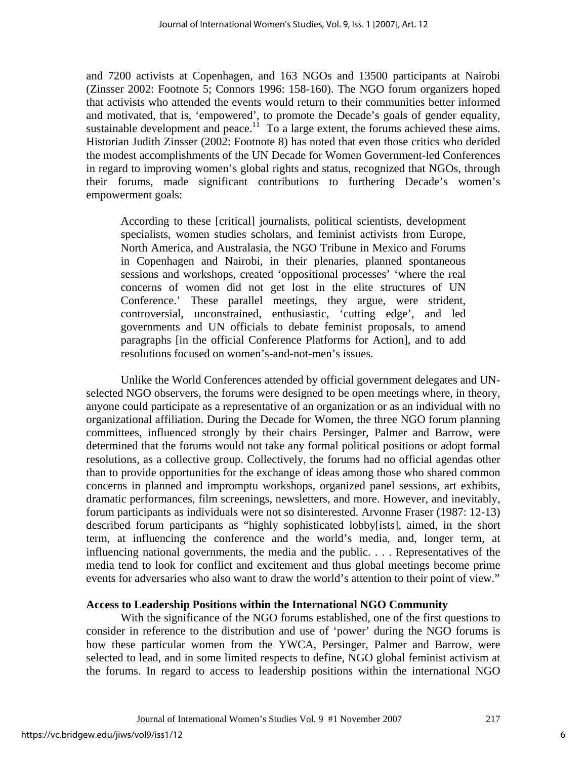and 7200 activists at Copenhagen, and 163 NGOs and 13500 participants at Nairobi (Zinsser 2002: Footnote 5; Connors 1996: 158-160). The NGO forum organizers hoped that activists who attended the events would return to their communities better informed and motivated, that is, 'empowered', to promote the Decade's goals of gender equality, sustainable development and peace.<sup>11</sup> To a large extent, the forums achieved these aims. Historian Judith Zinsser (2002: Footnote 8) has noted that even those critics who derided the modest accomplishments of the UN Decade for Women Government-led Conferences in regard to improving women's global rights and status, recognized that NGOs, through their forums, made significant contributions to furthering Decade's women's empowerment goals:

According to these [critical] journalists, political scientists, development specialists, women studies scholars, and feminist activists from Europe, North America, and Australasia, the NGO Tribune in Mexico and Forums in Copenhagen and Nairobi, in their plenaries, planned spontaneous sessions and workshops, created 'oppositional processes' 'where the real concerns of women did not get lost in the elite structures of UN Conference.' These parallel meetings, they argue, were strident, controversial, unconstrained, enthusiastic, 'cutting edge', and led governments and UN officials to debate feminist proposals, to amend paragraphs [in the official Conference Platforms for Action], and to add resolutions focused on women's-and-not-men's issues.

Unlike the World Conferences attended by official government delegates and UNselected NGO observers, the forums were designed to be open meetings where, in theory, anyone could participate as a representative of an organization or as an individual with no organizational affiliation. During the Decade for Women, the three NGO forum planning committees, influenced strongly by their chairs Persinger, Palmer and Barrow, were determined that the forums would not take any formal political positions or adopt formal resolutions, as a collective group. Collectively, the forums had no official agendas other than to provide opportunities for the exchange of ideas among those who shared common concerns in planned and impromptu workshops, organized panel sessions, art exhibits, dramatic performances, film screenings, newsletters, and more. However, and inevitably, forum participants as individuals were not so disinterested. Arvonne Fraser (1987: 12-13) described forum participants as "highly sophisticated lobby[ists], aimed, in the short term, at influencing the conference and the world's media, and, longer term, at influencing national governments, the media and the public. . . . Representatives of the media tend to look for conflict and excitement and thus global meetings become prime events for adversaries who also want to draw the world's attention to their point of view."

#### **Access to Leadership Positions within the International NGO Community**

With the significance of the NGO forums established, one of the first questions to consider in reference to the distribution and use of 'power' during the NGO forums is how these particular women from the YWCA, Persinger, Palmer and Barrow, were selected to lead, and in some limited respects to define, NGO global feminist activism at the forums. In regard to access to leadership positions within the international NGO

Journal of International Women's Studies Vol. 9 #1 November 2007 217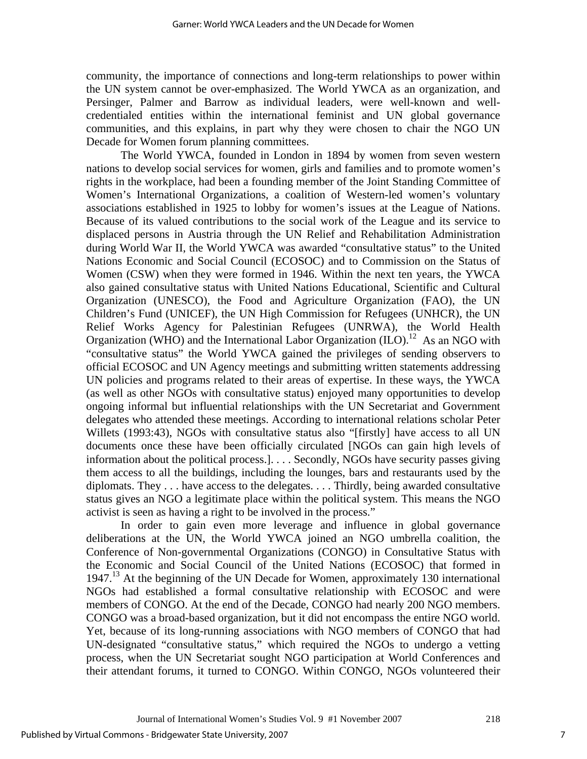community, the importance of connections and long-term relationships to power within the UN system cannot be over-emphasized. The World YWCA as an organization, and Persinger, Palmer and Barrow as individual leaders, were well-known and wellcredentialed entities within the international feminist and UN global governance communities, and this explains, in part why they were chosen to chair the NGO UN Decade for Women forum planning committees.

 The World YWCA, founded in London in 1894 by women from seven western nations to develop social services for women, girls and families and to promote women's rights in the workplace, had been a founding member of the Joint Standing Committee of Women's International Organizations, a coalition of Western-led women's voluntary associations established in 1925 to lobby for women's issues at the League of Nations. Because of its valued contributions to the social work of the League and its service to displaced persons in Austria through the UN Relief and Rehabilitation Administration during World War II, the World YWCA was awarded "consultative status" to the United Nations Economic and Social Council (ECOSOC) and to Commission on the Status of Women (CSW) when they were formed in 1946. Within the next ten years, the YWCA also gained consultative status with United Nations Educational, Scientific and Cultural Organization (UNESCO), the Food and Agriculture Organization (FAO), the UN Children's Fund (UNICEF), the UN High Commission for Refugees (UNHCR), the UN Relief Works Agency for Palestinian Refugees (UNRWA), the World Health Organization (WHO) and the International Labor Organization (ILO).<sup>12</sup> As an NGO with "consultative status" the World YWCA gained the privileges of sending observers to official ECOSOC and UN Agency meetings and submitting written statements addressing UN policies and programs related to their areas of expertise. In these ways, the YWCA (as well as other NGOs with consultative status) enjoyed many opportunities to develop ongoing informal but influential relationships with the UN Secretariat and Government delegates who attended these meetings. According to international relations scholar Peter Willets (1993:43), NGOs with consultative status also "[firstly] have access to all UN documents once these have been officially circulated [NGOs can gain high levels of information about the political process.]. . . . Secondly, NGOs have security passes giving them access to all the buildings, including the lounges, bars and restaurants used by the diplomats. They . . . have access to the delegates. . . . Thirdly, being awarded consultative status gives an NGO a legitimate place within the political system. This means the NGO activist is seen as having a right to be involved in the process."

 In order to gain even more leverage and influence in global governance deliberations at the UN, the World YWCA joined an NGO umbrella coalition, the Conference of Non-governmental Organizations (CONGO) in Consultative Status with the Economic and Social Council of the United Nations (ECOSOC) that formed in 1947.<sup>13</sup> At the beginning of the UN Decade for Women, approximately 130 international NGOs had established a formal consultative relationship with ECOSOC and were members of CONGO. At the end of the Decade, CONGO had nearly 200 NGO members. CONGO was a broad-based organization, but it did not encompass the entire NGO world. Yet, because of its long-running associations with NGO members of CONGO that had UN-designated "consultative status," which required the NGOs to undergo a vetting process, when the UN Secretariat sought NGO participation at World Conferences and their attendant forums, it turned to CONGO. Within CONGO, NGOs volunteered their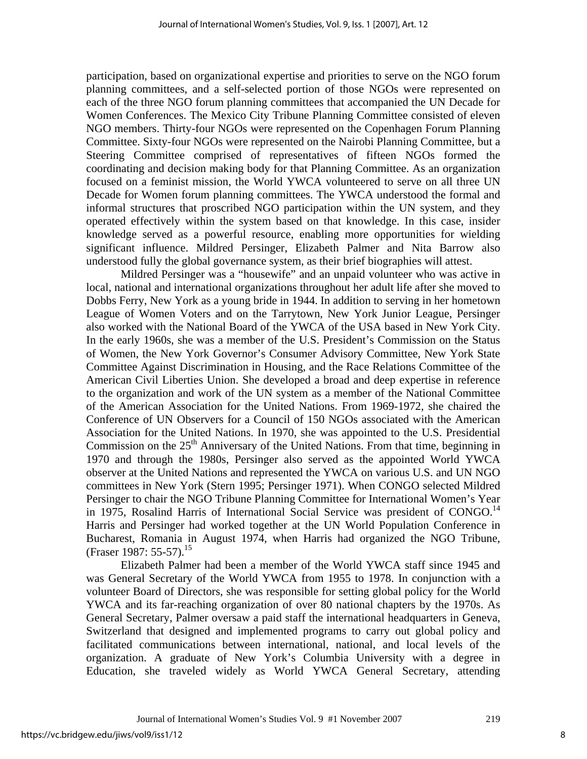participation, based on organizational expertise and priorities to serve on the NGO forum planning committees, and a self-selected portion of those NGOs were represented on each of the three NGO forum planning committees that accompanied the UN Decade for Women Conferences. The Mexico City Tribune Planning Committee consisted of eleven NGO members. Thirty-four NGOs were represented on the Copenhagen Forum Planning Committee. Sixty-four NGOs were represented on the Nairobi Planning Committee, but a Steering Committee comprised of representatives of fifteen NGOs formed the coordinating and decision making body for that Planning Committee. As an organization focused on a feminist mission, the World YWCA volunteered to serve on all three UN Decade for Women forum planning committees. The YWCA understood the formal and informal structures that proscribed NGO participation within the UN system, and they operated effectively within the system based on that knowledge. In this case, insider knowledge served as a powerful resource, enabling more opportunities for wielding significant influence. Mildred Persinger, Elizabeth Palmer and Nita Barrow also understood fully the global governance system, as their brief biographies will attest.

Mildred Persinger was a "housewife" and an unpaid volunteer who was active in local, national and international organizations throughout her adult life after she moved to Dobbs Ferry, New York as a young bride in 1944. In addition to serving in her hometown League of Women Voters and on the Tarrytown, New York Junior League, Persinger also worked with the National Board of the YWCA of the USA based in New York City. In the early 1960s, she was a member of the U.S. President's Commission on the Status of Women, the New York Governor's Consumer Advisory Committee, New York State Committee Against Discrimination in Housing, and the Race Relations Committee of the American Civil Liberties Union. She developed a broad and deep expertise in reference to the organization and work of the UN system as a member of the National Committee of the American Association for the United Nations. From 1969-1972, she chaired the Conference of UN Observers for a Council of 150 NGOs associated with the American Association for the United Nations. In 1970, she was appointed to the U.S. Presidential Commission on the  $25<sup>th</sup>$  Anniversary of the United Nations. From that time, beginning in 1970 and through the 1980s, Persinger also served as the appointed World YWCA observer at the United Nations and represented the YWCA on various U.S. and UN NGO committees in New York (Stern 1995; Persinger 1971). When CONGO selected Mildred Persinger to chair the NGO Tribune Planning Committee for International Women's Year in 1975, Rosalind Harris of International Social Service was president of CONGO.<sup>14</sup> Harris and Persinger had worked together at the UN World Population Conference in Bucharest, Romania in August 1974, when Harris had organized the NGO Tribune, (Fraser 1987: 55-57).<sup>15</sup>

 Elizabeth Palmer had been a member of the World YWCA staff since 1945 and was General Secretary of the World YWCA from 1955 to 1978. In conjunction with a volunteer Board of Directors, she was responsible for setting global policy for the World YWCA and its far-reaching organization of over 80 national chapters by the 1970s. As General Secretary, Palmer oversaw a paid staff the international headquarters in Geneva, Switzerland that designed and implemented programs to carry out global policy and facilitated communications between international, national, and local levels of the organization. A graduate of New York's Columbia University with a degree in Education, she traveled widely as World YWCA General Secretary, attending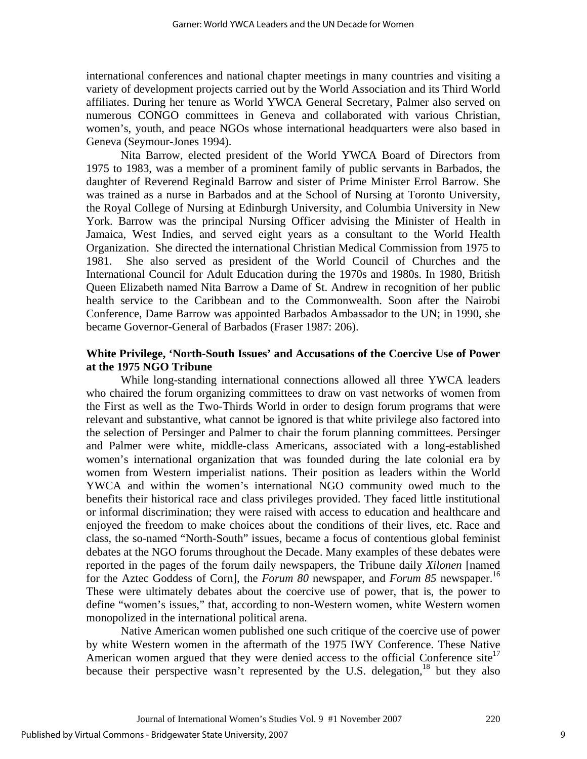international conferences and national chapter meetings in many countries and visiting a variety of development projects carried out by the World Association and its Third World affiliates. During her tenure as World YWCA General Secretary, Palmer also served on numerous CONGO committees in Geneva and collaborated with various Christian, women's, youth, and peace NGOs whose international headquarters were also based in Geneva (Seymour-Jones 1994).

Nita Barrow, elected president of the World YWCA Board of Directors from 1975 to 1983, was a member of a prominent family of public servants in Barbados, the daughter of Reverend Reginald Barrow and sister of Prime Minister Errol Barrow. She was trained as a nurse in Barbados and at the School of Nursing at Toronto University, the Royal College of Nursing at Edinburgh University, and Columbia University in New York. Barrow was the principal Nursing Officer advising the Minister of Health in Jamaica, West Indies, and served eight years as a consultant to the World Health Organization. She directed the international Christian Medical Commission from 1975 to 1981. She also served as president of the World Council of Churches and the International Council for Adult Education during the 1970s and 1980s. In 1980, British Queen Elizabeth named Nita Barrow a Dame of St. Andrew in recognition of her public health service to the Caribbean and to the Commonwealth. Soon after the Nairobi Conference, Dame Barrow was appointed Barbados Ambassador to the UN; in 1990, she became Governor-General of Barbados (Fraser 1987: 206).

## **White Privilege, 'North-South Issues' and Accusations of the Coercive Use of Power at the 1975 NGO Tribune**

 While long-standing international connections allowed all three YWCA leaders who chaired the forum organizing committees to draw on vast networks of women from the First as well as the Two-Thirds World in order to design forum programs that were relevant and substantive, what cannot be ignored is that white privilege also factored into the selection of Persinger and Palmer to chair the forum planning committees. Persinger and Palmer were white, middle-class Americans, associated with a long-established women's international organization that was founded during the late colonial era by women from Western imperialist nations. Their position as leaders within the World YWCA and within the women's international NGO community owed much to the benefits their historical race and class privileges provided. They faced little institutional or informal discrimination; they were raised with access to education and healthcare and enjoyed the freedom to make choices about the conditions of their lives, etc. Race and class, the so-named "North-South" issues, became a focus of contentious global feminist debates at the NGO forums throughout the Decade. Many examples of these debates were reported in the pages of the forum daily newspapers, the Tribune daily *Xilonen* [named for the Aztec Goddess of Corn], the *Forum 80* newspaper, and *Forum 85* newspaper.16 These were ultimately debates about the coercive use of power, that is, the power to define "women's issues," that, according to non-Western women, white Western women monopolized in the international political arena.

 Native American women published one such critique of the coercive use of power by white Western women in the aftermath of the 1975 IWY Conference. These Native American women argued that they were denied access to the official Conference site<sup>17</sup> because their perspective wasn't represented by the U.S. delegation, <sup>18</sup> but they also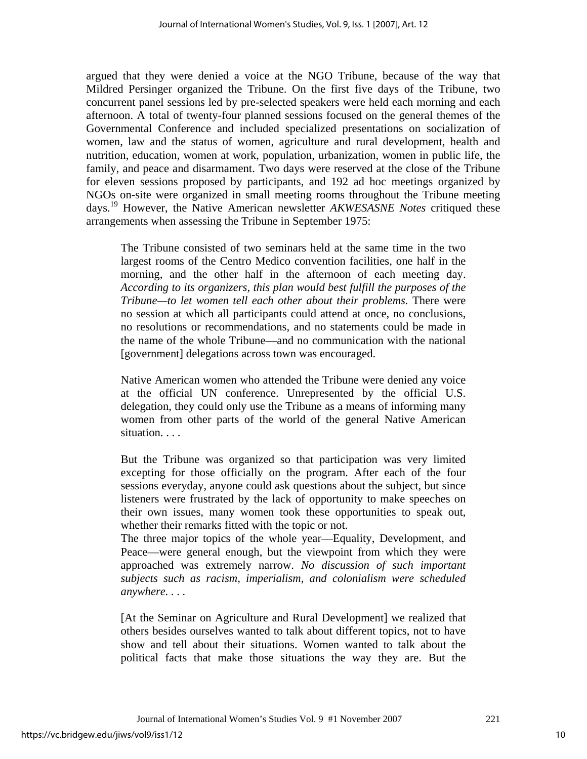argued that they were denied a voice at the NGO Tribune, because of the way that Mildred Persinger organized the Tribune. On the first five days of the Tribune, two concurrent panel sessions led by pre-selected speakers were held each morning and each afternoon. A total of twenty-four planned sessions focused on the general themes of the Governmental Conference and included specialized presentations on socialization of women, law and the status of women, agriculture and rural development, health and nutrition, education, women at work, population, urbanization, women in public life, the family, and peace and disarmament. Two days were reserved at the close of the Tribune for eleven sessions proposed by participants, and 192 ad hoc meetings organized by NGOs on-site were organized in small meeting rooms throughout the Tribune meeting days.19 However, the Native American newsletter *AKWESASNE Notes* critiqued these arrangements when assessing the Tribune in September 1975:

The Tribune consisted of two seminars held at the same time in the two largest rooms of the Centro Medico convention facilities, one half in the morning, and the other half in the afternoon of each meeting day. *According to its organizers, this plan would best fulfill the purposes of the Tribune—to let women tell each other about their problems.* There were no session at which all participants could attend at once, no conclusions, no resolutions or recommendations, and no statements could be made in the name of the whole Tribune—and no communication with the national [government] delegations across town was encouraged.

Native American women who attended the Tribune were denied any voice at the official UN conference. Unrepresented by the official U.S. delegation, they could only use the Tribune as a means of informing many women from other parts of the world of the general Native American situation. . . .

But the Tribune was organized so that participation was very limited excepting for those officially on the program. After each of the four sessions everyday, anyone could ask questions about the subject, but since listeners were frustrated by the lack of opportunity to make speeches on their own issues, many women took these opportunities to speak out, whether their remarks fitted with the topic or not.

The three major topics of the whole year—Equality, Development, and Peace—were general enough, but the viewpoint from which they were approached was extremely narrow. *No discussion of such important subjects such as racism, imperialism, and colonialism were scheduled anywhere. . . .* 

[At the Seminar on Agriculture and Rural Development] we realized that others besides ourselves wanted to talk about different topics, not to have show and tell about their situations. Women wanted to talk about the political facts that make those situations the way they are. But the

Journal of International Women's Studies Vol. 9 #1 November 2007 221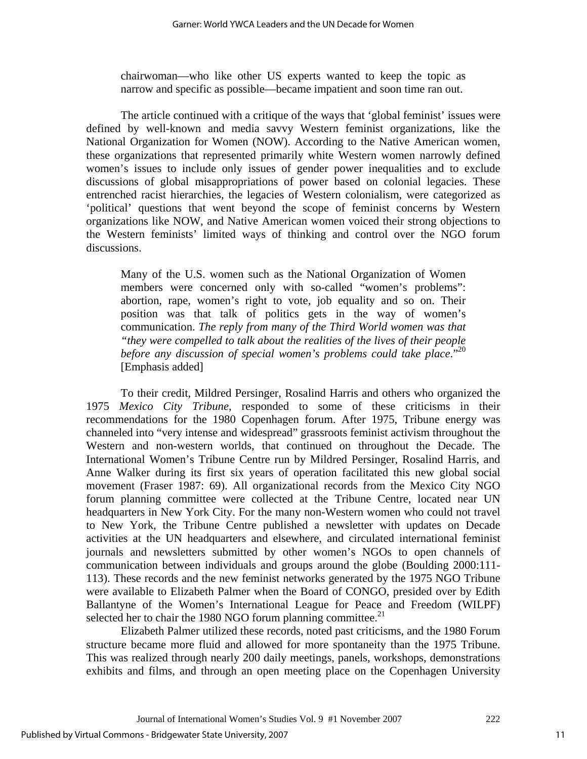chairwoman—who like other US experts wanted to keep the topic as narrow and specific as possible—became impatient and soon time ran out.

The article continued with a critique of the ways that 'global feminist' issues were defined by well-known and media savvy Western feminist organizations, like the National Organization for Women (NOW). According to the Native American women, these organizations that represented primarily white Western women narrowly defined women's issues to include only issues of gender power inequalities and to exclude discussions of global misappropriations of power based on colonial legacies. These entrenched racist hierarchies, the legacies of Western colonialism, were categorized as 'political' questions that went beyond the scope of feminist concerns by Western organizations like NOW, and Native American women voiced their strong objections to the Western feminists' limited ways of thinking and control over the NGO forum discussions.

Many of the U.S. women such as the National Organization of Women members were concerned only with so-called "women's problems": abortion, rape, women's right to vote, job equality and so on. Their position was that talk of politics gets in the way of women's communication. *The reply from many of the Third World women was that "they were compelled to talk about the realities of the lives of their people before any discussion of special women's problems could take place*."20 [Emphasis added]

To their credit, Mildred Persinger, Rosalind Harris and others who organized the 1975 *Mexico City Tribune*, responded to some of these criticisms in their recommendations for the 1980 Copenhagen forum. After 1975, Tribune energy was channeled into "very intense and widespread" grassroots feminist activism throughout the Western and non-western worlds, that continued on throughout the Decade. The International Women's Tribune Centre run by Mildred Persinger, Rosalind Harris, and Anne Walker during its first six years of operation facilitated this new global social movement (Fraser 1987: 69). All organizational records from the Mexico City NGO forum planning committee were collected at the Tribune Centre, located near UN headquarters in New York City. For the many non-Western women who could not travel to New York, the Tribune Centre published a newsletter with updates on Decade activities at the UN headquarters and elsewhere, and circulated international feminist journals and newsletters submitted by other women's NGOs to open channels of communication between individuals and groups around the globe (Boulding 2000:111- 113). These records and the new feminist networks generated by the 1975 NGO Tribune were available to Elizabeth Palmer when the Board of CONGO, presided over by Edith Ballantyne of the Women's International League for Peace and Freedom (WILPF) selected her to chair the 1980 NGO forum planning committee. $^{21}$ 

 Elizabeth Palmer utilized these records, noted past criticisms, and the 1980 Forum structure became more fluid and allowed for more spontaneity than the 1975 Tribune. This was realized through nearly 200 daily meetings, panels, workshops, demonstrations exhibits and films, and through an open meeting place on the Copenhagen University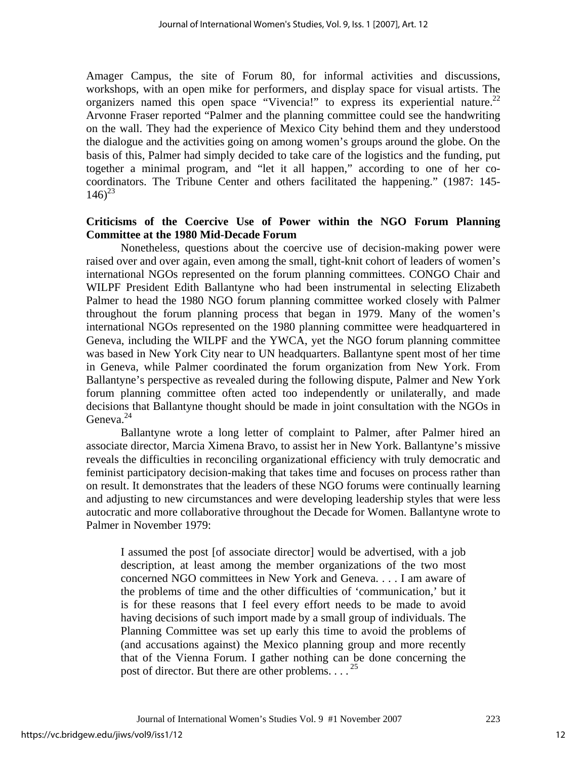Amager Campus, the site of Forum 80, for informal activities and discussions, workshops, with an open mike for performers, and display space for visual artists. The organizers named this open space "Vivencia!" to express its experiential nature.<sup>22</sup> Arvonne Fraser reported "Palmer and the planning committee could see the handwriting on the wall. They had the experience of Mexico City behind them and they understood the dialogue and the activities going on among women's groups around the globe. On the basis of this, Palmer had simply decided to take care of the logistics and the funding, put together a minimal program, and "let it all happen," according to one of her cocoordinators. The Tribune Center and others facilitated the happening." (1987: 145-  $146^{23}$ 

# **Criticisms of the Coercive Use of Power within the NGO Forum Planning Committee at the 1980 Mid-Decade Forum**

 Nonetheless, questions about the coercive use of decision-making power were raised over and over again, even among the small, tight-knit cohort of leaders of women's international NGOs represented on the forum planning committees. CONGO Chair and WILPF President Edith Ballantyne who had been instrumental in selecting Elizabeth Palmer to head the 1980 NGO forum planning committee worked closely with Palmer throughout the forum planning process that began in 1979. Many of the women's international NGOs represented on the 1980 planning committee were headquartered in Geneva, including the WILPF and the YWCA, yet the NGO forum planning committee was based in New York City near to UN headquarters. Ballantyne spent most of her time in Geneva, while Palmer coordinated the forum organization from New York. From Ballantyne's perspective as revealed during the following dispute, Palmer and New York forum planning committee often acted too independently or unilaterally, and made decisions that Ballantyne thought should be made in joint consultation with the NGOs in Geneva. $^{24}$ 

 Ballantyne wrote a long letter of complaint to Palmer, after Palmer hired an associate director, Marcia Ximena Bravo, to assist her in New York. Ballantyne's missive reveals the difficulties in reconciling organizational efficiency with truly democratic and feminist participatory decision-making that takes time and focuses on process rather than on result. It demonstrates that the leaders of these NGO forums were continually learning and adjusting to new circumstances and were developing leadership styles that were less autocratic and more collaborative throughout the Decade for Women. Ballantyne wrote to Palmer in November 1979:

I assumed the post [of associate director] would be advertised, with a job description, at least among the member organizations of the two most concerned NGO committees in New York and Geneva. . . . I am aware of the problems of time and the other difficulties of 'communication,' but it is for these reasons that I feel every effort needs to be made to avoid having decisions of such import made by a small group of individuals. The Planning Committee was set up early this time to avoid the problems of (and accusations against) the Mexico planning group and more recently that of the Vienna Forum. I gather nothing can be done concerning the post of director. But there are other problems.  $\ldots$ <sup>25</sup>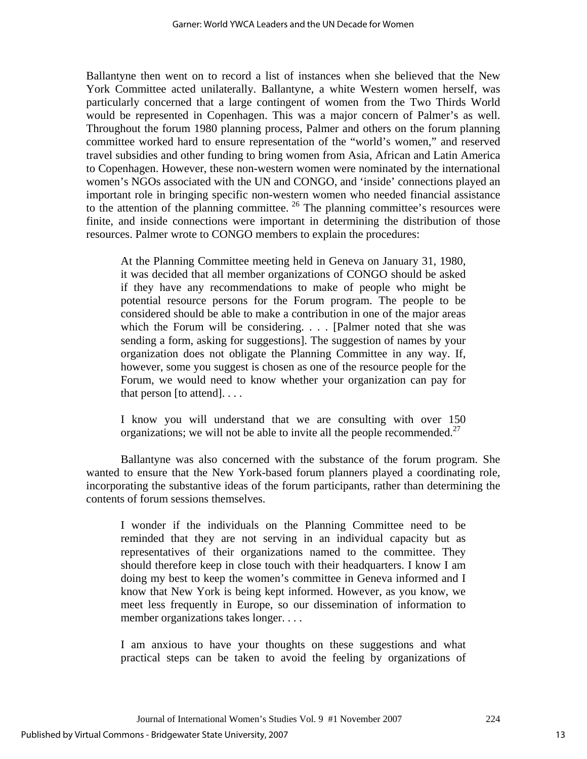Ballantyne then went on to record a list of instances when she believed that the New York Committee acted unilaterally. Ballantyne, a white Western women herself, was particularly concerned that a large contingent of women from the Two Thirds World would be represented in Copenhagen. This was a major concern of Palmer's as well. Throughout the forum 1980 planning process, Palmer and others on the forum planning committee worked hard to ensure representation of the "world's women," and reserved travel subsidies and other funding to bring women from Asia, African and Latin America to Copenhagen. However, these non-western women were nominated by the international women's NGOs associated with the UN and CONGO, and 'inside' connections played an important role in bringing specific non-western women who needed financial assistance to the attention of the planning committee.  $26$  The planning committee's resources were finite, and inside connections were important in determining the distribution of those resources. Palmer wrote to CONGO members to explain the procedures:

At the Planning Committee meeting held in Geneva on January 31, 1980, it was decided that all member organizations of CONGO should be asked if they have any recommendations to make of people who might be potential resource persons for the Forum program. The people to be considered should be able to make a contribution in one of the major areas which the Forum will be considering. . . . [Palmer noted that she was sending a form, asking for suggestions]. The suggestion of names by your organization does not obligate the Planning Committee in any way. If, however, some you suggest is chosen as one of the resource people for the Forum, we would need to know whether your organization can pay for that person  $[$ to attend $]$ ...

I know you will understand that we are consulting with over 150 organizations; we will not be able to invite all the people recommended.<sup>27</sup>

Ballantyne was also concerned with the substance of the forum program. She wanted to ensure that the New York-based forum planners played a coordinating role, incorporating the substantive ideas of the forum participants, rather than determining the contents of forum sessions themselves.

I wonder if the individuals on the Planning Committee need to be reminded that they are not serving in an individual capacity but as representatives of their organizations named to the committee. They should therefore keep in close touch with their headquarters. I know I am doing my best to keep the women's committee in Geneva informed and I know that New York is being kept informed. However, as you know, we meet less frequently in Europe, so our dissemination of information to member organizations takes longer. . . .

I am anxious to have your thoughts on these suggestions and what practical steps can be taken to avoid the feeling by organizations of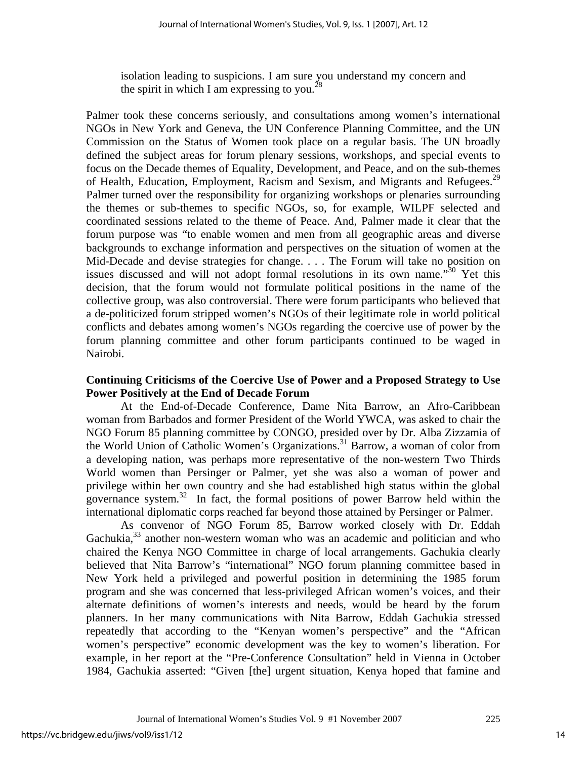isolation leading to suspicions. I am sure you understand my concern and the spirit in which I am expressing to you.<sup>28</sup>

Palmer took these concerns seriously, and consultations among women's international NGOs in New York and Geneva, the UN Conference Planning Committee, and the UN Commission on the Status of Women took place on a regular basis. The UN broadly defined the subject areas for forum plenary sessions, workshops, and special events to focus on the Decade themes of Equality, Development, and Peace, and on the sub-themes of Health, Education, Employment, Racism and Sexism, and Migrants and Refugees.<sup>29</sup> Palmer turned over the responsibility for organizing workshops or plenaries surrounding the themes or sub-themes to specific NGOs, so, for example, WILPF selected and coordinated sessions related to the theme of Peace. And, Palmer made it clear that the forum purpose was "to enable women and men from all geographic areas and diverse backgrounds to exchange information and perspectives on the situation of women at the Mid-Decade and devise strategies for change. . . . The Forum will take no position on issues discussed and will not adopt formal resolutions in its own name."<sup>30</sup> Yet this decision, that the forum would not formulate political positions in the name of the collective group, was also controversial. There were forum participants who believed that a de-politicized forum stripped women's NGOs of their legitimate role in world political conflicts and debates among women's NGOs regarding the coercive use of power by the forum planning committee and other forum participants continued to be waged in Nairobi.

## **Continuing Criticisms of the Coercive Use of Power and a Proposed Strategy to Use Power Positively at the End of Decade Forum**

At the End-of-Decade Conference, Dame Nita Barrow, an Afro-Caribbean woman from Barbados and former President of the World YWCA, was asked to chair the NGO Forum 85 planning committee by CONGO, presided over by Dr. Alba Zizzamia of the World Union of Catholic Women's Organizations.<sup>31</sup> Barrow, a woman of color from a developing nation, was perhaps more representative of the non-western Two Thirds World women than Persinger or Palmer, yet she was also a woman of power and privilege within her own country and she had established high status within the global governance system.32 In fact, the formal positions of power Barrow held within the international diplomatic corps reached far beyond those attained by Persinger or Palmer.

 As convenor of NGO Forum 85, Barrow worked closely with Dr. Eddah Gachukia, $33$  another non-western woman who was an academic and politician and who chaired the Kenya NGO Committee in charge of local arrangements. Gachukia clearly believed that Nita Barrow's "international" NGO forum planning committee based in New York held a privileged and powerful position in determining the 1985 forum program and she was concerned that less-privileged African women's voices, and their alternate definitions of women's interests and needs, would be heard by the forum planners. In her many communications with Nita Barrow, Eddah Gachukia stressed repeatedly that according to the "Kenyan women's perspective" and the "African women's perspective" economic development was the key to women's liberation. For example, in her report at the "Pre-Conference Consultation" held in Vienna in October 1984, Gachukia asserted: "Given [the] urgent situation, Kenya hoped that famine and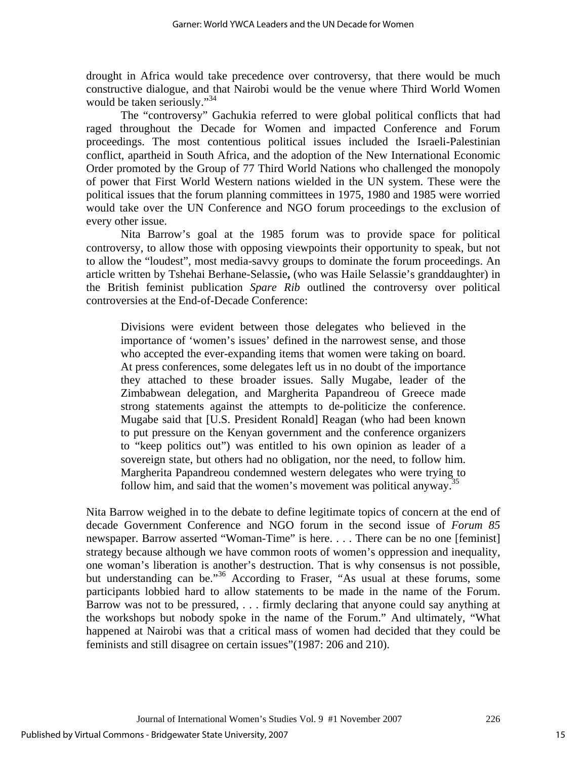drought in Africa would take precedence over controversy, that there would be much constructive dialogue, and that Nairobi would be the venue where Third World Women would be taken seriously."<sup>34</sup>

 The "controversy" Gachukia referred to were global political conflicts that had raged throughout the Decade for Women and impacted Conference and Forum proceedings. The most contentious political issues included the Israeli-Palestinian conflict, apartheid in South Africa, and the adoption of the New International Economic Order promoted by the Group of 77 Third World Nations who challenged the monopoly of power that First World Western nations wielded in the UN system. These were the political issues that the forum planning committees in 1975, 1980 and 1985 were worried would take over the UN Conference and NGO forum proceedings to the exclusion of every other issue.

 Nita Barrow's goal at the 1985 forum was to provide space for political controversy, to allow those with opposing viewpoints their opportunity to speak, but not to allow the "loudest", most media-savvy groups to dominate the forum proceedings. An article written by Tshehai Berhane-Selassie**,** (who was Haile Selassie's granddaughter) in the British feminist publication *Spare Rib* outlined the controversy over political controversies at the End-of-Decade Conference:

Divisions were evident between those delegates who believed in the importance of 'women's issues' defined in the narrowest sense, and those who accepted the ever-expanding items that women were taking on board. At press conferences, some delegates left us in no doubt of the importance they attached to these broader issues. Sally Mugabe, leader of the Zimbabwean delegation, and Margherita Papandreou of Greece made strong statements against the attempts to de-politicize the conference. Mugabe said that [U.S. President Ronald] Reagan (who had been known to put pressure on the Kenyan government and the conference organizers to "keep politics out") was entitled to his own opinion as leader of a sovereign state, but others had no obligation, nor the need, to follow him. Margherita Papandreou condemned western delegates who were trying to follow him, and said that the women's movement was political anyway.<sup>35</sup>

Nita Barrow weighed in to the debate to define legitimate topics of concern at the end of decade Government Conference and NGO forum in the second issue of *Forum 85* newspaper. Barrow asserted "Woman-Time" is here. . . . There can be no one [feminist] strategy because although we have common roots of women's oppression and inequality, one woman's liberation is another's destruction. That is why consensus is not possible, but understanding can be."<sup>36</sup> According to Fraser, "As usual at these forums, some participants lobbied hard to allow statements to be made in the name of the Forum. Barrow was not to be pressured, . . . firmly declaring that anyone could say anything at the workshops but nobody spoke in the name of the Forum." And ultimately, "What happened at Nairobi was that a critical mass of women had decided that they could be feminists and still disagree on certain issues"(1987: 206 and 210).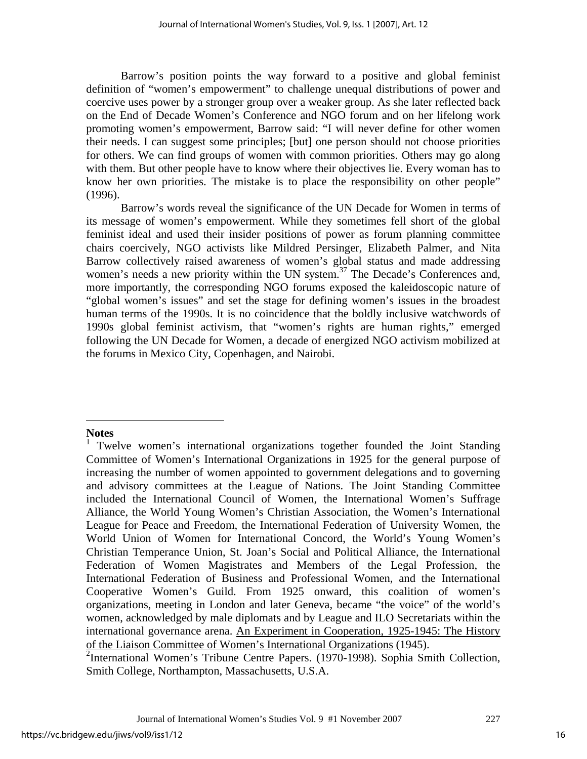Barrow's position points the way forward to a positive and global feminist definition of "women's empowerment" to challenge unequal distributions of power and coercive uses power by a stronger group over a weaker group. As she later reflected back on the End of Decade Women's Conference and NGO forum and on her lifelong work promoting women's empowerment, Barrow said: "I will never define for other women their needs. I can suggest some principles; [but] one person should not choose priorities for others. We can find groups of women with common priorities. Others may go along with them. But other people have to know where their objectives lie. Every woman has to know her own priorities. The mistake is to place the responsibility on other people" (1996).

 Barrow's words reveal the significance of the UN Decade for Women in terms of its message of women's empowerment. While they sometimes fell short of the global feminist ideal and used their insider positions of power as forum planning committee chairs coercively, NGO activists like Mildred Persinger, Elizabeth Palmer, and Nita Barrow collectively raised awareness of women's global status and made addressing women's needs a new priority within the UN system.<sup>37</sup> The Decade's Conferences and, more importantly, the corresponding NGO forums exposed the kaleidoscopic nature of "global women's issues" and set the stage for defining women's issues in the broadest human terms of the 1990s. It is no coincidence that the boldly inclusive watchwords of 1990s global feminist activism, that "women's rights are human rights," emerged following the UN Decade for Women, a decade of energized NGO activism mobilized at the forums in Mexico City, Copenhagen, and Nairobi.

#### **Notes**

 $\overline{a}$ 

<sup>2</sup>International Women's Tribune Centre Papers. (1970-1998). Sophia Smith Collection, Smith College, Northampton, Massachusetts, U.S.A.

<sup>1</sup> Twelve women's international organizations together founded the Joint Standing Committee of Women's International Organizations in 1925 for the general purpose of increasing the number of women appointed to government delegations and to governing and advisory committees at the League of Nations. The Joint Standing Committee included the International Council of Women, the International Women's Suffrage Alliance, the World Young Women's Christian Association, the Women's International League for Peace and Freedom, the International Federation of University Women, the World Union of Women for International Concord, the World's Young Women's Christian Temperance Union, St. Joan's Social and Political Alliance, the International Federation of Women Magistrates and Members of the Legal Profession, the International Federation of Business and Professional Women, and the International Cooperative Women's Guild. From 1925 onward, this coalition of women's organizations, meeting in London and later Geneva, became "the voice" of the world's women, acknowledged by male diplomats and by League and ILO Secretariats within the international governance arena. An Experiment in Cooperation, 1925-1945: The History of the Liaison Committee of Women's International Organizations (1945).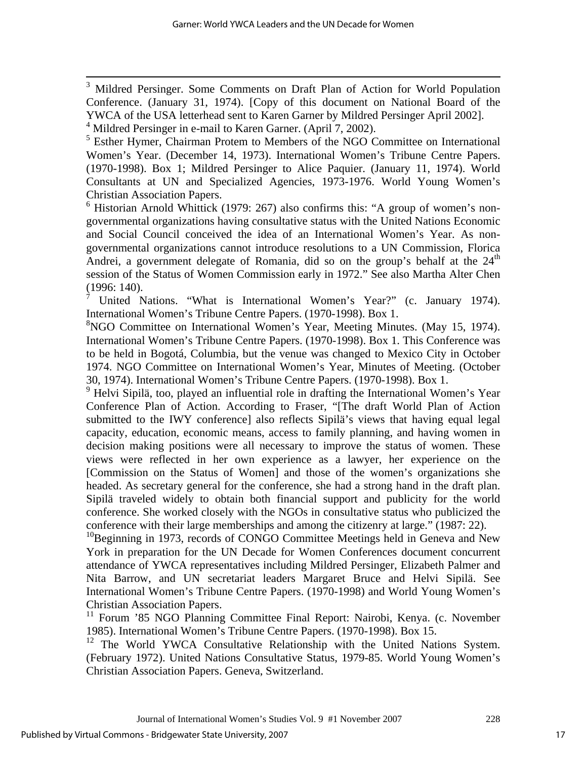<sup>3</sup> Mildred Persinger. Some Comments on Draft Plan of Action for World Population Conference. (January 31, 1974). [Copy of this document on National Board of the YWCA of the USA letterhead sent to Karen Garner by Mildred Persinger April 2002].

<sup>4</sup> Mildred Persinger in e-mail to Karen Garner. (April 7, 2002).

<sup>5</sup> Esther Hymer, Chairman Protem to Members of the NGO Committee on International Women's Year. (December 14, 1973). International Women's Tribune Centre Papers. (1970-1998). Box 1; Mildred Persinger to Alice Paquier. (January 11, 1974). World Consultants at UN and Specialized Agencies, 1973-1976. World Young Women's Christian Association Papers.

<sup>6</sup> Historian Arnold Whittick (1979: 267) also confirms this: "A group of women's nongovernmental organizations having consultative status with the United Nations Economic and Social Council conceived the idea of an International Women's Year. As nongovernmental organizations cannot introduce resolutions to a UN Commission, Florica Andrei, a government delegate of Romania, did so on the group's behalf at the  $24<sup>th</sup>$ session of the Status of Women Commission early in 1972." See also Martha Alter Chen (1996: 140).

7 United Nations. "What is International Women's Year?" (c. January 1974). International Women's Tribune Centre Papers. (1970-1998). Box 1.

8 NGO Committee on International Women's Year, Meeting Minutes. (May 15, 1974). International Women's Tribune Centre Papers. (1970-1998). Box 1. This Conference was to be held in Bogotá, Columbia, but the venue was changed to Mexico City in October 1974. NGO Committee on International Women's Year, Minutes of Meeting. (October 30, 1974). International Women's Tribune Centre Papers. (1970-1998). Box 1.

<sup>9</sup> Helvi Sipilä, too, played an influential role in drafting the International Women's Year Conference Plan of Action. According to Fraser, "[The draft World Plan of Action submitted to the IWY conference] also reflects Sipilä's views that having equal legal capacity, education, economic means, access to family planning, and having women in decision making positions were all necessary to improve the status of women. These views were reflected in her own experience as a lawyer, her experience on the [Commission on the Status of Women] and those of the women's organizations she headed. As secretary general for the conference, she had a strong hand in the draft plan. Sipilä traveled widely to obtain both financial support and publicity for the world conference. She worked closely with the NGOs in consultative status who publicized the conference with their large memberships and among the citizenry at large." (1987: 22).

 $10$ Beginning in 1973, records of CONGO Committee Meetings held in Geneva and New York in preparation for the UN Decade for Women Conferences document concurrent attendance of YWCA representatives including Mildred Persinger, Elizabeth Palmer and Nita Barrow, and UN secretariat leaders Margaret Bruce and Helvi Sipilä. See International Women's Tribune Centre Papers. (1970-1998) and World Young Women's Christian Association Papers.

<sup>11</sup> Forum '85 NGO Planning Committee Final Report: Nairobi, Kenya. (c. November 1985). International Women's Tribune Centre Papers. (1970-1998). Box 15.

<sup>12</sup> The World YWCA Consultative Relationship with the United Nations System. (February 1972). United Nations Consultative Status, 1979-85. World Young Women's Christian Association Papers. Geneva, Switzerland.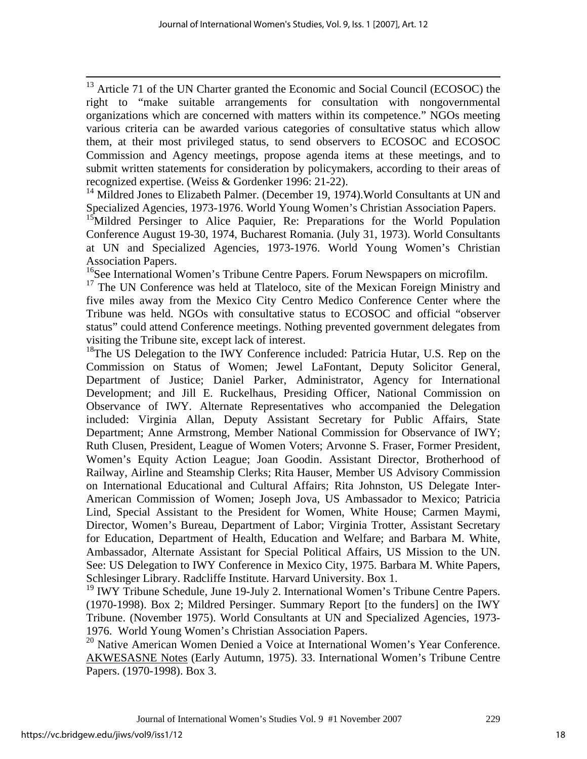<sup>13</sup> Article 71 of the UN Charter granted the Economic and Social Council (ECOSOC) the right to "make suitable arrangements for consultation with nongovernmental organizations which are concerned with matters within its competence." NGOs meeting various criteria can be awarded various categories of consultative status which allow them, at their most privileged status, to send observers to ECOSOC and ECOSOC Commission and Agency meetings, propose agenda items at these meetings, and to submit written statements for consideration by policymakers, according to their areas of recognized expertise. (Weiss & Gordenker 1996: 21-22).

<sup>14</sup> Mildred Jones to Elizabeth Palmer. (December 19, 1974). World Consultants at UN and Specialized Agencies, 1973-1976. World Young Women's Christian Association Papers.

<sup>15</sup>Mildred Persinger to Alice Paquier, Re: Preparations for the World Population Conference August 19-30, 1974, Bucharest Romania. (July 31, 1973). World Consultants at UN and Specialized Agencies, 1973-1976. World Young Women's Christian Association Papers.

<sup>16</sup>See International Women's Tribune Centre Papers. Forum Newspapers on microfilm.

<sup>17</sup> The UN Conference was held at Tlateloco, site of the Mexican Foreign Ministry and five miles away from the Mexico City Centro Medico Conference Center where the Tribune was held. NGOs with consultative status to ECOSOC and official "observer status" could attend Conference meetings. Nothing prevented government delegates from visiting the Tribune site, except lack of interest.

<sup>18</sup>The US Delegation to the IWY Conference included: Patricia Hutar, U.S. Rep on the Commission on Status of Women; Jewel LaFontant, Deputy Solicitor General, Department of Justice; Daniel Parker, Administrator, Agency for International Development; and Jill E. Ruckelhaus, Presiding Officer, National Commission on Observance of IWY. Alternate Representatives who accompanied the Delegation included: Virginia Allan, Deputy Assistant Secretary for Public Affairs, State Department; Anne Armstrong, Member National Commission for Observance of IWY; Ruth Clusen, President, League of Women Voters; Arvonne S. Fraser, Former President, Women's Equity Action League; Joan Goodin. Assistant Director, Brotherhood of Railway, Airline and Steamship Clerks; Rita Hauser, Member US Advisory Commission on International Educational and Cultural Affairs; Rita Johnston, US Delegate Inter-American Commission of Women; Joseph Jova, US Ambassador to Mexico; Patricia Lind, Special Assistant to the President for Women, White House; Carmen Maymi, Director, Women's Bureau, Department of Labor; Virginia Trotter, Assistant Secretary for Education, Department of Health, Education and Welfare; and Barbara M. White, Ambassador, Alternate Assistant for Special Political Affairs, US Mission to the UN. See: US Delegation to IWY Conference in Mexico City, 1975. Barbara M. White Papers, Schlesinger Library. Radcliffe Institute. Harvard University. Box 1.

<sup>19</sup> IWY Tribune Schedule, June 19-July 2. International Women's Tribune Centre Papers. (1970-1998). Box 2; Mildred Persinger. Summary Report [to the funders] on the IWY Tribune. (November 1975). World Consultants at UN and Specialized Agencies, 1973- 1976. World Young Women's Christian Association Papers.

<sup>20</sup> Native American Women Denied a Voice at International Women's Year Conference. AKWESASNE Notes (Early Autumn, 1975). 33. International Women's Tribune Centre Papers. (1970-1998). Box 3.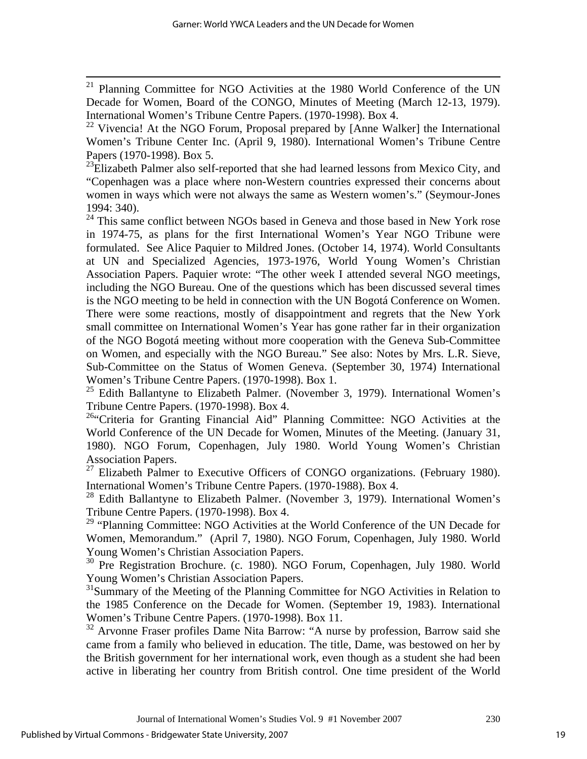<sup>21</sup> Planning Committee for NGO Activities at the 1980 World Conference of the UN Decade for Women, Board of the CONGO, Minutes of Meeting (March 12-13, 1979). International Women's Tribune Centre Papers. (1970-1998). Box 4.

<sup>23</sup>Elizabeth Palmer also self-reported that she had learned lessons from Mexico City, and "Copenhagen was a place where non-Western countries expressed their concerns about women in ways which were not always the same as Western women's." (Seymour-Jones 1994: 340).

<sup>24</sup> This same conflict between NGOs based in Geneva and those based in New York rose in 1974-75, as plans for the first International Women's Year NGO Tribune were formulated. See Alice Paquier to Mildred Jones. (October 14, 1974). World Consultants at UN and Specialized Agencies, 1973-1976, World Young Women's Christian Association Papers. Paquier wrote: "The other week I attended several NGO meetings, including the NGO Bureau. One of the questions which has been discussed several times is the NGO meeting to be held in connection with the UN Bogotá Conference on Women. There were some reactions, mostly of disappointment and regrets that the New York small committee on International Women's Year has gone rather far in their organization of the NGO Bogotá meeting without more cooperation with the Geneva Sub-Committee on Women, and especially with the NGO Bureau." See also: Notes by Mrs. L.R. Sieve, Sub-Committee on the Status of Women Geneva. (September 30, 1974) International Women's Tribune Centre Papers. (1970-1998). Box 1.

<sup>25</sup> Edith Ballantyne to Elizabeth Palmer. (November 3, 1979). International Women's Tribune Centre Papers. (1970-1998). Box 4.

<sup>26</sup>"Criteria for Granting Financial Aid" Planning Committee: NGO Activities at the World Conference of the UN Decade for Women, Minutes of the Meeting. (January 31, 1980). NGO Forum, Copenhagen, July 1980. World Young Women's Christian Association Papers.

 $27$  Elizabeth Palmer to Executive Officers of CONGO organizations. (February 1980). International Women's Tribune Centre Papers. (1970-1988). Box 4.

<sup>28</sup> Edith Ballantyne to Elizabeth Palmer. (November 3, 1979). International Women's Tribune Centre Papers. (1970-1998). Box 4.

<sup>29</sup> "Planning Committee: NGO Activities at the World Conference of the UN Decade for Women, Memorandum." (April 7, 1980). NGO Forum, Copenhagen, July 1980. World Young Women's Christian Association Papers.

30 Pre Registration Brochure. (c. 1980). NGO Forum, Copenhagen, July 1980. World Young Women's Christian Association Papers.

<sup>31</sup>Summary of the Meeting of the Planning Committee for NGO Activities in Relation to the 1985 Conference on the Decade for Women. (September 19, 1983). International Women's Tribune Centre Papers. (1970-1998). Box 11.

<sup>32</sup> Arvonne Fraser profiles Dame Nita Barrow: "A nurse by profession, Barrow said she came from a family who believed in education. The title, Dame, was bestowed on her by the British government for her international work, even though as a student she had been active in liberating her country from British control. One time president of the World

<sup>&</sup>lt;sup>22</sup> Vivencia! At the NGO Forum, Proposal prepared by [Anne Walker] the International Women's Tribune Center Inc. (April 9, 1980). International Women's Tribune Centre Papers (1970-1998). Box 5.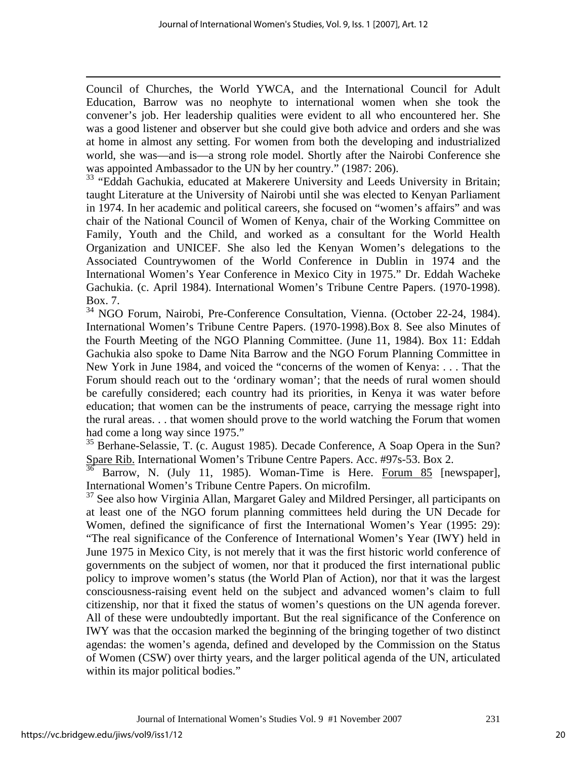Council of Churches, the World YWCA, and the International Council for Adult Education, Barrow was no neophyte to international women when she took the convener's job. Her leadership qualities were evident to all who encountered her. She was a good listener and observer but she could give both advice and orders and she was at home in almost any setting. For women from both the developing and industrialized world, she was—and is—a strong role model. Shortly after the Nairobi Conference she was appointed Ambassador to the UN by her country." (1987: 206).

<sup>33</sup> "Eddah Gachukia, educated at Makerere University and Leeds University in Britain; taught Literature at the University of Nairobi until she was elected to Kenyan Parliament in 1974. In her academic and political careers, she focused on "women's affairs" and was chair of the National Council of Women of Kenya, chair of the Working Committee on Family, Youth and the Child, and worked as a consultant for the World Health Organization and UNICEF. She also led the Kenyan Women's delegations to the Associated Countrywomen of the World Conference in Dublin in 1974 and the International Women's Year Conference in Mexico City in 1975." Dr. Eddah Wacheke Gachukia. (c. April 1984). International Women's Tribune Centre Papers. (1970-1998). Box. 7.

34 NGO Forum, Nairobi, Pre-Conference Consultation, Vienna. (October 22-24, 1984). International Women's Tribune Centre Papers. (1970-1998).Box 8. See also Minutes of the Fourth Meeting of the NGO Planning Committee. (June 11, 1984). Box 11: Eddah Gachukia also spoke to Dame Nita Barrow and the NGO Forum Planning Committee in New York in June 1984, and voiced the "concerns of the women of Kenya: . . . That the Forum should reach out to the 'ordinary woman'; that the needs of rural women should be carefully considered; each country had its priorities, in Kenya it was water before education; that women can be the instruments of peace, carrying the message right into the rural areas. . . that women should prove to the world watching the Forum that women had come a long way since 1975."

<sup>35</sup> Berhane-Selassie, T. (c. August 1985). Decade Conference, A Soap Opera in the Sun? Spare Rib. International Women's Tribune Centre Papers. Acc. #97s-53. Box 2.

Barrow, N. (July 11, 1985). Woman-Time is Here. Forum 85 [newspaper], International Women's Tribune Centre Papers. On microfilm.

<sup>37</sup> See also how Virginia Allan, Margaret Galey and Mildred Persinger, all participants on at least one of the NGO forum planning committees held during the UN Decade for Women, defined the significance of first the International Women's Year (1995: 29): "The real significance of the Conference of International Women's Year (IWY) held in June 1975 in Mexico City, is not merely that it was the first historic world conference of governments on the subject of women, nor that it produced the first international public policy to improve women's status (the World Plan of Action), nor that it was the largest consciousness-raising event held on the subject and advanced women's claim to full citizenship, nor that it fixed the status of women's questions on the UN agenda forever. All of these were undoubtedly important. But the real significance of the Conference on IWY was that the occasion marked the beginning of the bringing together of two distinct agendas: the women's agenda, defined and developed by the Commission on the Status of Women (CSW) over thirty years, and the larger political agenda of the UN, articulated within its major political bodies."

Journal of International Women's Studies Vol. 9 #1 November 2007 231

1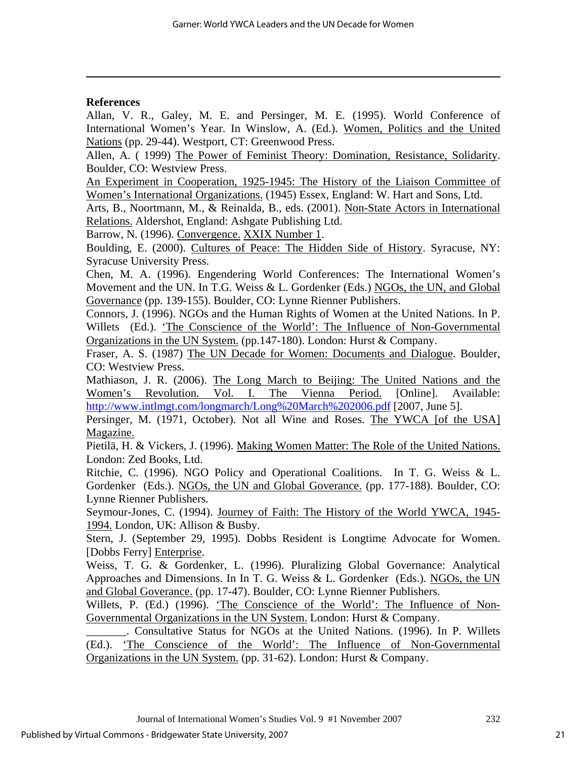## **References**

1

Allan, V. R., Galey, M. E. and Persinger, M. E. (1995). World Conference of International Women's Year. In Winslow, A. (Ed.). Women, Politics and the United Nations (pp. 29-44). Westport, CT: Greenwood Press.

Allen, A. ( 1999) The Power of Feminist Theory: Domination, Resistance, Solidarity. Boulder, CO: Westview Press.

An Experiment in Cooperation, 1925-1945: The History of the Liaison Committee of Women's International Organizations. (1945) Essex, England: W. Hart and Sons, Ltd.

Arts, B., Noortmann, M., & Reinalda, B., eds. (2001). Non-State Actors in International Relations. Aldershot, England: Ashgate Publishing Ltd.

Barrow, N. (1996). Convergence. XXIX Number 1.

Boulding, E. (2000). Cultures of Peace: The Hidden Side of History. Syracuse, NY: Syracuse University Press.

Chen, M. A. (1996). Engendering World Conferences: The International Women's Movement and the UN. In T.G. Weiss & L. Gordenker (Eds.) NGOs, the UN, and Global Governance (pp. 139-155). Boulder, CO: Lynne Rienner Publishers.

Connors, J. (1996). NGOs and the Human Rights of Women at the United Nations. In P. Willets (Ed.). 'The Conscience of the World': The Influence of Non-Governmental Organizations in the UN System. (pp.147-180). London: Hurst & Company.

Fraser, A. S. (1987) The UN Decade for Women: Documents and Dialogue. Boulder, CO: Westview Press.

Mathiason, J. R. (2006). The Long March to Beijing: The United Nations and the Women's Revolution. Vol. I. The Vienna Period. [Online]. Available: http://www.intlmgt.com/longmarch/Long%20March%202006.pdf [2007, June 5].

Persinger, M. (1971, October). Not all Wine and Roses. The YWCA [of the USA] Magazine.

Pietilä, H. & Vickers, J. (1996). Making Women Matter: The Role of the United Nations. London: Zed Books, Ltd.

Ritchie, C. (1996). NGO Policy and Operational Coalitions. In T. G. Weiss & L. Gordenker (Eds.). NGOs, the UN and Global Goverance. (pp. 177-188). Boulder, CO: Lynne Rienner Publishers.

Seymour-Jones, C. (1994). Journey of Faith: The History of the World YWCA, 1945- 1994. London, UK: Allison & Busby.

Stern, J. (September 29, 1995). Dobbs Resident is Longtime Advocate for Women. [Dobbs Ferry] Enterprise.

Weiss, T. G. & Gordenker, L. (1996). Pluralizing Global Governance: Analytical Approaches and Dimensions. In In T. G. Weiss & L. Gordenker (Eds.). NGOs, the UN and Global Goverance. (pp. 17-47). Boulder, CO: Lynne Rienner Publishers.

Willets, P. (Ed.) (1996). 'The Conscience of the World': The Influence of Non-Governmental Organizations in the UN System. London: Hurst & Company.

\_\_\_\_\_\_\_. Consultative Status for NGOs at the United Nations. (1996). In P. Willets (Ed.). 'The Conscience of the World': The Influence of Non-Governmental Organizations in the UN System. (pp. 31-62). London: Hurst & Company.